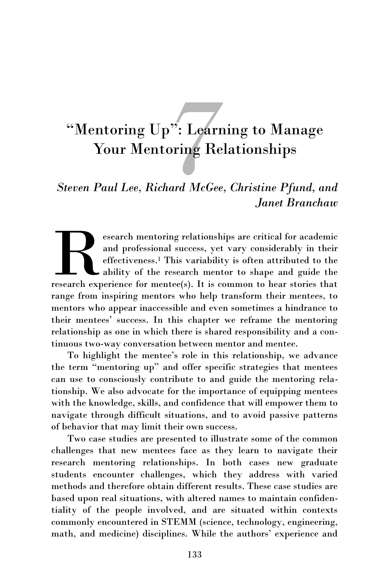# <sup>7</sup>: Learn<br>oring Re<br>*aad McGee* "Mentoring Up": Learning to Manage Your Mentoring Relationships

*Steven Paul Lee, Richard McGee, Christine Pfund, and Janet Branchaw*

esearch mentoring relationships are critical for academic<br>and professional success, yet vary considerably in their<br>effectiveness.<sup>1</sup> This variability is often attributed to the<br>research experience for mentee(s). It is comm esearch mentoring relationships are critical for academic and professional success, yet vary considerably in their effectiveness.<sup>1</sup> This variability is often attributed to the ability of the research mentor to shape and guide the range from inspiring mentors who help transform their mentees, to mentors who appear inaccessible and even sometimes a hindrance to their mentees' success. In this chapter we reframe the mentoring relationship as one in which there is shared responsibility and a continuous two-way conversation between mentor and mentee.

To highlight the mentee's role in this relationship, we advance the term "mentoring up" and offer specific strategies that mentees can use to consciously contribute to and guide the mentoring relationship. We also advocate for the importance of equipping mentees with the knowledge, skills, and confidence that will empower them to navigate through difficult situations, and to avoid passive patterns of behavior that may limit their own success.

Two case studies are presented to illustrate some of the common challenges that new mentees face as they learn to navigate their research mentoring relationships. In both cases new graduate students encounter challenges, which they address with varied methods and therefore obtain different results. These case studies are based upon real situations, with altered names to maintain confidentiality of the people involved, and are situated within contexts commonly encountered in STEMM (science, technology, engineering, math, and medicine) disciplines. While the authors' experience and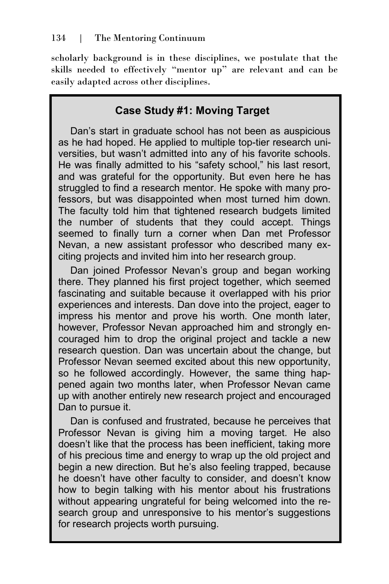scholarly background is in these disciplines, we postulate that the skills needed to effectively "mentor up" are relevant and can be easily adapted across other disciplines.

# **Case Study #1: Moving Target**

Dan's start in graduate school has not been as auspicious as he had hoped. He applied to multiple top-tier research universities, but wasn't admitted into any of his favorite schools. He was finally admitted to his "safety school," his last resort, and was grateful for the opportunity. But even here he has struggled to find a research mentor. He spoke with many professors, but was disappointed when most turned him down. The faculty told him that tightened research budgets limited the number of students that they could accept. Things seemed to finally turn a corner when Dan met Professor Nevan, a new assistant professor who described many exciting projects and invited him into her research group.

Dan joined Professor Nevan's group and began working there. They planned his first project together, which seemed fascinating and suitable because it overlapped with his prior experiences and interests. Dan dove into the project, eager to impress his mentor and prove his worth. One month later, however, Professor Nevan approached him and strongly encouraged him to drop the original project and tackle a new research question. Dan was uncertain about the change, but Professor Nevan seemed excited about this new opportunity, so he followed accordingly. However, the same thing happened again two months later, when Professor Nevan came up with another entirely new research project and encouraged Dan to pursue it.

Dan is confused and frustrated, because he perceives that Professor Nevan is giving him a moving target. He also doesn't like that the process has been inefficient, taking more of his precious time and energy to wrap up the old project and begin a new direction. But he's also feeling trapped, because he doesn't have other faculty to consider, and doesn't know how to begin talking with his mentor about his frustrations without appearing ungrateful for being welcomed into the research group and unresponsive to his mentor's suggestions for research projects worth pursuing.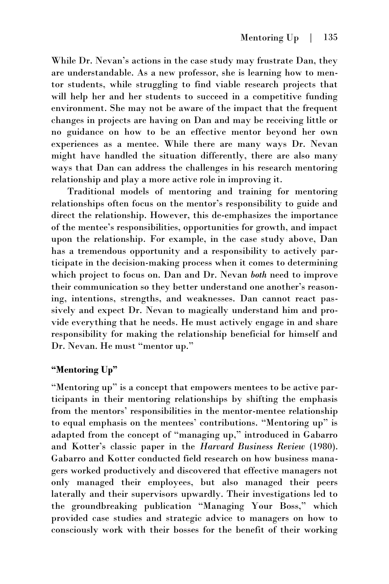While Dr. Nevan's actions in the case study may frustrate Dan, they are understandable. As a new professor, she is learning how to mentor students, while struggling to find viable research projects that will help her and her students to succeed in a competitive funding environment. She may not be aware of the impact that the frequent changes in projects are having on Dan and may be receiving little or no guidance on how to be an effective mentor beyond her own experiences as a mentee. While there are many ways Dr. Nevan might have handled the situation differently, there are also many ways that Dan can address the challenges in his research mentoring relationship and play a more active role in improving it.

Traditional models of mentoring and training for mentoring relationships often focus on the mentor's responsibility to guide and direct the relationship. However, this de-emphasizes the importance of the mentee's responsibilities, opportunities for growth, and impact upon the relationship. For example, in the case study above, Dan has a tremendous opportunity and a responsibility to actively participate in the decision-making process when it comes to determining which project to focus on. Dan and Dr. Nevan *both* need to improve their communication so they better understand one another's reasoning, intentions, strengths, and weaknesses. Dan cannot react passively and expect Dr. Nevan to magically understand him and provide everything that he needs. He must actively engage in and share responsibility for making the relationship beneficial for himself and Dr. Nevan. He must "mentor up."

## **"Mentoring Up"**

"Mentoring up" is a concept that empowers mentees to be active participants in their mentoring relationships by shifting the emphasis from the mentors' responsibilities in the mentor-mentee relationship to equal emphasis on the mentees' contributions. "Mentoring up" is adapted from the concept of "managing up," introduced in Gabarro and Kotter's classic paper in the *Harvard Business Review* (1980). Gabarro and Kotter conducted field research on how business managers worked productively and discovered that effective managers not only managed their employees, but also managed their peers laterally and their supervisors upwardly. Their investigations led to the groundbreaking publication "Managing Your Boss," which provided case studies and strategic advice to managers on how to consciously work with their bosses for the benefit of their working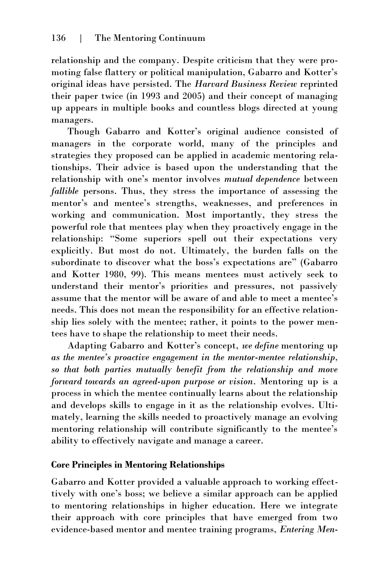relationship and the company. Despite criticism that they were promoting false flattery or political manipulation, Gabarro and Kotter's original ideas have persisted. The *Harvard Business Review* reprinted their paper twice (in 1993 and 2005) and their concept of managing up appears in multiple books and countless blogs directed at young managers.

Though Gabarro and Kotter's original audience consisted of managers in the corporate world, many of the principles and strategies they proposed can be applied in academic mentoring relationships. Their advice is based upon the understanding that the relationship with one's mentor involves *mutual dependence* between *fallible* persons. Thus, they stress the importance of assessing the mentor's and mentee's strengths, weaknesses, and preferences in working and communication. Most importantly, they stress the powerful role that mentees play when they proactively engage in the relationship: "Some superiors spell out their expectations very explicitly. But most do not. Ultimately, the burden falls on the subordinate to discover what the boss's expectations are" (Gabarro and Kotter 1980, 99). This means mentees must actively seek to understand their mentor's priorities and pressures, not passively assume that the mentor will be aware of and able to meet a mentee's needs. This does not mean the responsibility for an effective relationship lies solely with the mentee; rather, it points to the power mentees have to shape the relationship to meet their needs.

Adapting Gabarro and Kotter's concept, *we define* mentoring up *as the mentee's proactive engagement in the mentor-mentee relationship, so that both parties mutually benefit from the relationship and move forward towards an agreed-upon purpose or vision*. Mentoring up is a process in which the mentee continually learns about the relationship and develops skills to engage in it as the relationship evolves. Ultimately, learning the skills needed to proactively manage an evolving mentoring relationship will contribute significantly to the mentee's ability to effectively navigate and manage a career.

## **Core Principles in Mentoring Relationships**

Gabarro and Kotter provided a valuable approach to working effecttively with one's boss; we believe a similar approach can be applied to mentoring relationships in higher education. Here we integrate their approach with core principles that have emerged from two evidence-based mentor and mentee training programs, *Entering Men-*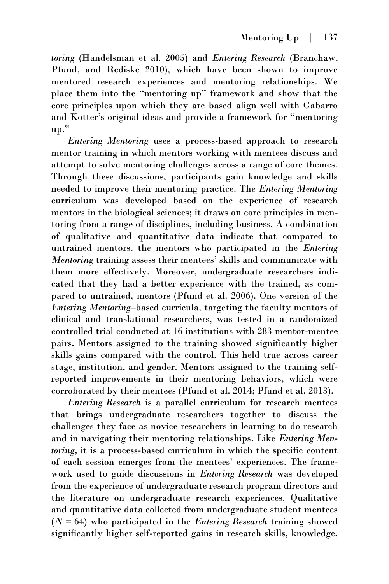*toring* (Handelsman et al. 2005) and *Entering Research* (Branchaw, Pfund, and Rediske 2010), which have been shown to improve mentored research experiences and mentoring relationships. We place them into the "mentoring up" framework and show that the core principles upon which they are based align well with Gabarro and Kotter's original ideas and provide a framework for "mentoring up."

*Entering Mentoring* uses a process-based approach to research mentor training in which mentors working with mentees discuss and attempt to solve mentoring challenges across a range of core themes. Through these discussions, participants gain knowledge and skills needed to improve their mentoring practice. The *Entering Mentoring* curriculum was developed based on the experience of research mentors in the biological sciences; it draws on core principles in mentoring from a range of disciplines, including business. A combination of qualitative and quantitative data indicate that compared to untrained mentors, the mentors who participated in the *Entering Mentoring* training assess their mentees' skills and communicate with them more effectively. Moreover, undergraduate researchers indicated that they had a better experience with the trained, as compared to untrained, mentors (Pfund et al. 2006). One version of the *Entering Mentoring*–based curricula, targeting the faculty mentors of clinical and translational researchers, was tested in a randomized controlled trial conducted at 16 institutions with 283 mentor-mentee pairs. Mentors assigned to the training showed significantly higher skills gains compared with the control. This held true across career stage, institution, and gender. Mentors assigned to the training selfreported improvements in their mentoring behaviors, which were corroborated by their mentees (Pfund et al. 2014; Pfund et al. 2013).

*Entering Research* is a parallel curriculum for research mentees that brings undergraduate researchers together to discuss the challenges they face as novice researchers in learning to do research and in navigating their mentoring relationships. Like *Entering Mentoring*, it is a process-based curriculum in which the specific content of each session emerges from the mentees' experiences. The framework used to guide discussions in *Entering Research* was developed from the experience of undergraduate research program directors and the literature on undergraduate research experiences. Qualitative and quantitative data collected from undergraduate student mentees (*N* = 64) who participated in the *Entering Research* training showed significantly higher self-reported gains in research skills, knowledge,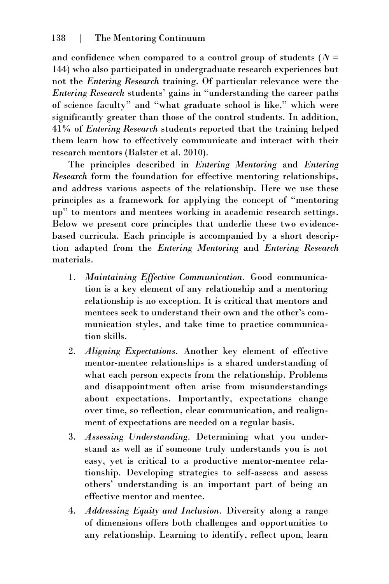and confidence when compared to a control group of students ( $N =$ 144) who also participated in undergraduate research experiences but not the *Entering Research* training. Of particular relevance were the *Entering Research* students' gains in "understanding the career paths of science faculty" and "what graduate school is like," which were significantly greater than those of the control students. In addition, 41% of *Entering Research* students reported that the training helped them learn how to effectively communicate and interact with their research mentors (Balster et al. 2010).

The principles described in *Entering Mentoring* and *Entering Research* form the foundation for effective mentoring relationships, and address various aspects of the relationship. Here we use these principles as a framework for applying the concept of "mentoring up" to mentors and mentees working in academic research settings. Below we present core principles that underlie these two evidencebased curricula. Each principle is accompanied by a short description adapted from the *Entering Mentoring* and *Entering Research* materials.

- 1. *Maintaining Effective Communication.* Good communication is a key element of any relationship and a mentoring relationship is no exception. It is critical that mentors and mentees seek to understand their own and the other's communication styles, and take time to practice communication skills.
- 2. *Aligning Expectations.* Another key element of effective mentor-mentee relationships is a shared understanding of what each person expects from the relationship. Problems and disappointment often arise from misunderstandings about expectations. Importantly, expectations change over time, so reflection, clear communication, and realignment of expectations are needed on a regular basis.
- 3. *Assessing Understanding.* Determining what you understand as well as if someone truly understands you is not easy, yet is critical to a productive mentor-mentee relationship. Developing strategies to self-assess and assess others' understanding is an important part of being an effective mentor and mentee.
- 4. *Addressing Equity and Inclusion.* Diversity along a range of dimensions offers both challenges and opportunities to any relationship. Learning to identify, reflect upon, learn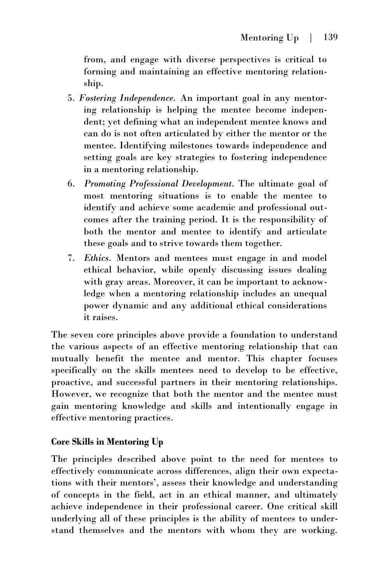from, and engage with diverse perspectives is critical to forming and maintaining an effective mentoring relationship.

- 5. *Fostering Independence.* An important goal in any mentoring relationship is helping the mentee become independent; yet defining what an independent mentee knows and can do is not often articulated by either the mentor or the mentee. Identifying milestones towards independence and setting goals are key strategies to fostering independence in a mentoring relationship.
- 6. *Promoting Professional Development*. The ultimate goal of most mentoring situations is to enable the mentee to identify and achieve some academic and professional outcomes after the training period. It is the responsibility of both the mentor and mentee to identify and articulate these goals and to strive towards them together.
- 7. *Ethics.* Mentors and mentees must engage in and model ethical behavior, while openly discussing issues dealing with gray areas. Moreover, it can be important to acknowledge when a mentoring relationship includes an unequal power dynamic and any additional ethical considerations it raises.

The seven core principles above provide a foundation to understand the various aspects of an effective mentoring relationship that can mutually benefit the mentee and mentor. This chapter focuses specifically on the skills mentees need to develop to be effective, proactive, and successful partners in their mentoring relationships. However, we recognize that both the mentor and the mentee must gain mentoring knowledge and skills and intentionally engage in effective mentoring practices.

## **Core Skills in Mentoring Up**

The principles described above point to the need for mentees to effectively communicate across differences, align their own expectations with their mentors', assess their knowledge and understanding of concepts in the field, act in an ethical manner, and ultimately achieve independence in their professional career. One critical skill underlying all of these principles is the ability of mentees to understand themselves and the mentors with whom they are working.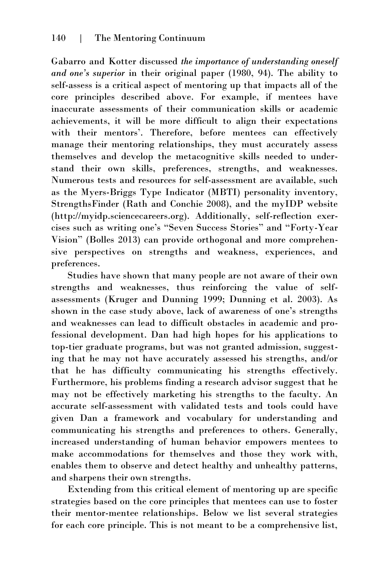Gabarro and Kotter discussed *the importance of understanding oneself and one's superior* in their original paper (1980, 94). The ability to self-assess is a critical aspect of mentoring up that impacts all of the core principles described above. For example, if mentees have inaccurate assessments of their communication skills or academic achievements, it will be more difficult to align their expectations with their mentors'. Therefore, before mentees can effectively manage their mentoring relationships, they must accurately assess themselves and develop the metacognitive skills needed to understand their own skills, preferences, strengths, and weaknesses. Numerous tests and resources for self-assessment are available, such as the Myers-Briggs Type Indicator (MBTI) personality inventory, StrengthsFinder (Rath and Conchie 2008), and the myIDP website (http://myidp.sciencecareers.org). Additionally, self-reflection exercises such as writing one's "Seven Success Stories" and "Forty-Year Vision" (Bolles 2013) can provide orthogonal and more comprehensive perspectives on strengths and weakness, experiences, and preferences.

Studies have shown that many people are not aware of their own strengths and weaknesses, thus reinforcing the value of selfassessments (Kruger and Dunning 1999; Dunning et al. 2003). As shown in the case study above, lack of awareness of one's strengths and weaknesses can lead to difficult obstacles in academic and professional development. Dan had high hopes for his applications to top-tier graduate programs, but was not granted admission, suggesting that he may not have accurately assessed his strengths, and/or that he has difficulty communicating his strengths effectively. Furthermore, his problems finding a research advisor suggest that he may not be effectively marketing his strengths to the faculty. An accurate self-assessment with validated tests and tools could have given Dan a framework and vocabulary for understanding and communicating his strengths and preferences to others. Generally, increased understanding of human behavior empowers mentees to make accommodations for themselves and those they work with, enables them to observe and detect healthy and unhealthy patterns, and sharpens their own strengths.

Extending from this critical element of mentoring up are specific strategies based on the core principles that mentees can use to foster their mentor-mentee relationships. Below we list several strategies for each core principle. This is not meant to be a comprehensive list,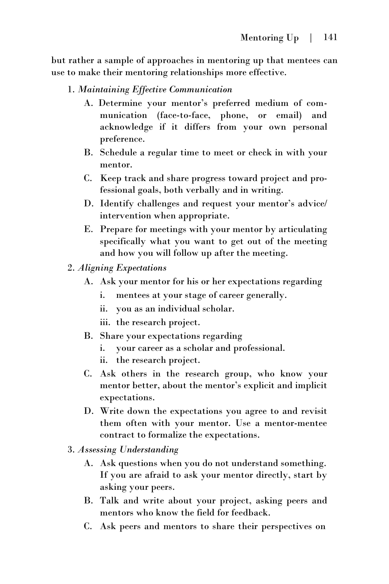but rather a sample of approaches in mentoring up that mentees can use to make their mentoring relationships more effective.

- 1. *Maintaining Effective Communication*
	- A. Determine your mentor's preferred medium of communication (face-to-face, phone, or email) and acknowledge if it differs from your own personal preference.
	- B. Schedule a regular time to meet or check in with your mentor.
	- C. Keep track and share progress toward project and professional goals, both verbally and in writing.
	- D. Identify challenges and request your mentor's advice/ intervention when appropriate.
	- E. Prepare for meetings with your mentor by articulating specifically what you want to get out of the meeting and how you will follow up after the meeting.
- 2. *Aligning Expectations*
	- A. Ask your mentor for his or her expectations regarding
		- i. mentees at your stage of career generally.
		- ii. you as an individual scholar.
		- iii. the research project.
	- B. Share your expectations regarding
		- i. your career as a scholar and professional.
		- ii. the research project.
	- C. Ask others in the research group, who know your mentor better, about the mentor's explicit and implicit expectations.
	- D. Write down the expectations you agree to and revisit them often with your mentor. Use a mentor-mentee contract to formalize the expectations.
- 3. *Assessing Understanding*
	- A. Ask questions when you do not understand something. If you are afraid to ask your mentor directly, start by asking your peers.
	- B. Talk and write about your project, asking peers and mentors who know the field for feedback.
	- C. Ask peers and mentors to share their perspectives on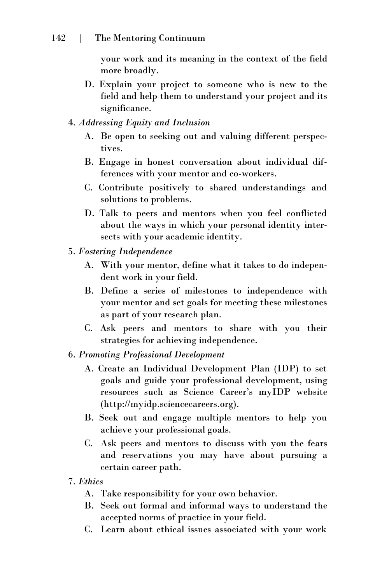your work and its meaning in the context of the field more broadly.

- D. Explain your project to someone who is new to the field and help them to understand your project and its significance.
- 4. *Addressing Equity and Inclusion*
	- A. Be open to seeking out and valuing different perspectives.
	- B. Engage in honest conversation about individual differences with your mentor and co-workers.
	- C. Contribute positively to shared understandings and solutions to problems.
	- D. Talk to peers and mentors when you feel conflicted about the ways in which your personal identity intersects with your academic identity.
- 5. *Fostering Independence*
	- A. With your mentor, define what it takes to do independent work in your field.
	- B. Define a series of milestones to independence with your mentor and set goals for meeting these milestones as part of your research plan.
	- C. Ask peers and mentors to share with you their strategies for achieving independence.
- 6. *Promoting Professional Development*
	- A. Create an Individual Development Plan (IDP) to set goals and guide your professional development, using resources such as Science Career's myIDP website (http://myidp.sciencecareers.org).
	- B. Seek out and engage multiple mentors to help you achieve your professional goals.
	- C. Ask peers and mentors to discuss with you the fears and reservations you may have about pursuing a certain career path.
- 7. *Ethics*
	- A. Take responsibility for your own behavior.
	- B. Seek out formal and informal ways to understand the accepted norms of practice in your field.
	- C. Learn about ethical issues associated with your work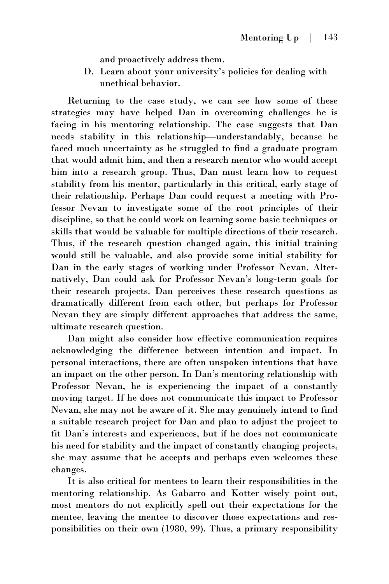and proactively address them.

D. Learn about your university's policies for dealing with unethical behavior.

Returning to the case study, we can see how some of these strategies may have helped Dan in overcoming challenges he is facing in his mentoring relationship. The case suggests that Dan needs stability in this relationship—understandably, because he faced much uncertainty as he struggled to find a graduate program that would admit him, and then a research mentor who would accept him into a research group. Thus, Dan must learn how to request stability from his mentor, particularly in this critical, early stage of their relationship. Perhaps Dan could request a meeting with Professor Nevan to investigate some of the root principles of their discipline, so that he could work on learning some basic techniques or skills that would be valuable for multiple directions of their research. Thus, if the research question changed again, this initial training would still be valuable, and also provide some initial stability for Dan in the early stages of working under Professor Nevan. Alternatively, Dan could ask for Professor Nevan's long-term goals for their research projects. Dan perceives these research questions as dramatically different from each other, but perhaps for Professor Nevan they are simply different approaches that address the same, ultimate research question.

Dan might also consider how effective communication requires acknowledging the difference between intention and impact. In personal interactions, there are often unspoken intentions that have an impact on the other person. In Dan's mentoring relationship with Professor Nevan, he is experiencing the impact of a constantly moving target. If he does not communicate this impact to Professor Nevan, she may not be aware of it. She may genuinely intend to find a suitable research project for Dan and plan to adjust the project to fit Dan's interests and experiences, but if he does not communicate his need for stability and the impact of constantly changing projects, she may assume that he accepts and perhaps even welcomes these changes.

It is also critical for mentees to learn their responsibilities in the mentoring relationship. As Gabarro and Kotter wisely point out, most mentors do not explicitly spell out their expectations for the mentee, leaving the mentee to discover those expectations and responsibilities on their own (1980, 99). Thus, a primary responsibility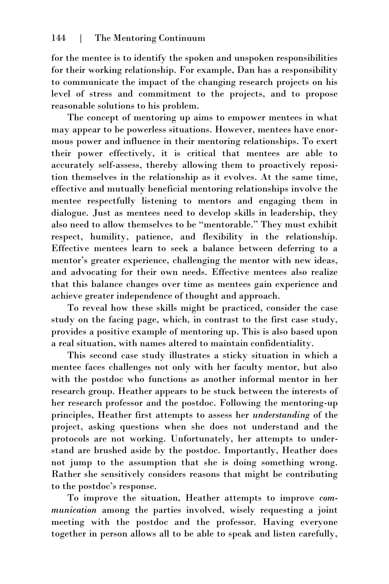for the mentee is to identify the spoken and unspoken responsibilities for their working relationship. For example, Dan has a responsibility to communicate the impact of the changing research projects on his level of stress and commitment to the projects, and to propose reasonable solutions to his problem.

The concept of mentoring up aims to empower mentees in what may appear to be powerless situations. However, mentees have enormous power and influence in their mentoring relationships. To exert their power effectively, it is critical that mentees are able to accurately self-assess, thereby allowing them to proactively reposition themselves in the relationship as it evolves. At the same time, effective and mutually beneficial mentoring relationships involve the mentee respectfully listening to mentors and engaging them in dialogue. Just as mentees need to develop skills in leadership, they also need to allow themselves to be "mentorable." They must exhibit respect, humility, patience, and flexibility in the relationship. Effective mentees learn to seek a balance between deferring to a mentor's greater experience, challenging the mentor with new ideas, and advocating for their own needs. Effective mentees also realize that this balance changes over time as mentees gain experience and achieve greater independence of thought and approach.

To reveal how these skills might be practiced, consider the case study on the facing page, which, in contrast to the first case study, provides a positive example of mentoring up. This is also based upon a real situation, with names altered to maintain confidentiality.

This second case study illustrates a sticky situation in which a mentee faces challenges not only with her faculty mentor, but also with the postdoc who functions as another informal mentor in her research group. Heather appears to be stuck between the interests of her research professor and the postdoc. Following the mentoring-up principles, Heather first attempts to assess her *understanding* of the project, asking questions when she does not understand and the protocols are not working. Unfortunately, her attempts to understand are brushed aside by the postdoc. Importantly, Heather does not jump to the assumption that she is doing something wrong. Rather she sensitively considers reasons that might be contributing to the postdoc's response.

To improve the situation, Heather attempts to improve *communication* among the parties involved, wisely requesting a joint meeting with the postdoc and the professor. Having everyone together in person allows all to be able to speak and listen carefully,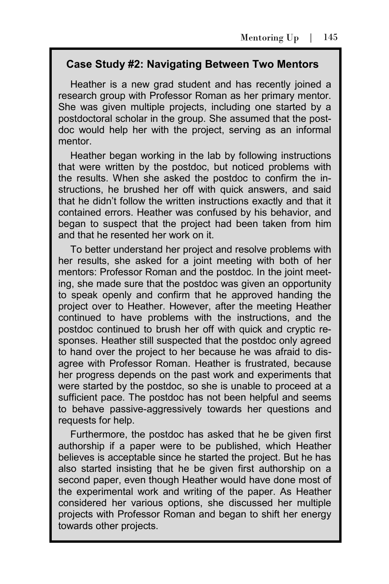## **Case Study #2: Navigating Between Two Mentors**

Heather is a new grad student and has recently joined a research group with Professor Roman as her primary mentor. She was given multiple projects, including one started by a postdoctoral scholar in the group. She assumed that the postdoc would help her with the project, serving as an informal mentor.

Heather began working in the lab by following instructions that were written by the postdoc, but noticed problems with the results. When she asked the postdoc to confirm the instructions, he brushed her off with quick answers, and said that he didn't follow the written instructions exactly and that it contained errors. Heather was confused by his behavior, and began to suspect that the project had been taken from him and that he resented her work on it.

To better understand her project and resolve problems with her results, she asked for a joint meeting with both of her mentors: Professor Roman and the postdoc. In the joint meeting, she made sure that the postdoc was given an opportunity to speak openly and confirm that he approved handing the project over to Heather. However, after the meeting Heather continued to have problems with the instructions, and the postdoc continued to brush her off with quick and cryptic responses. Heather still suspected that the postdoc only agreed to hand over the project to her because he was afraid to disagree with Professor Roman. Heather is frustrated, because her progress depends on the past work and experiments that were started by the postdoc, so she is unable to proceed at a sufficient pace. The postdoc has not been helpful and seems to behave passive-aggressively towards her questions and requests for help.

Furthermore, the postdoc has asked that he be given first authorship if a paper were to be published, which Heather believes is acceptable since he started the project. But he has also started insisting that he be given first authorship on a second paper, even though Heather would have done most of the experimental work and writing of the paper. As Heather considered her various options, she discussed her multiple projects with Professor Roman and began to shift her energy towards other projects.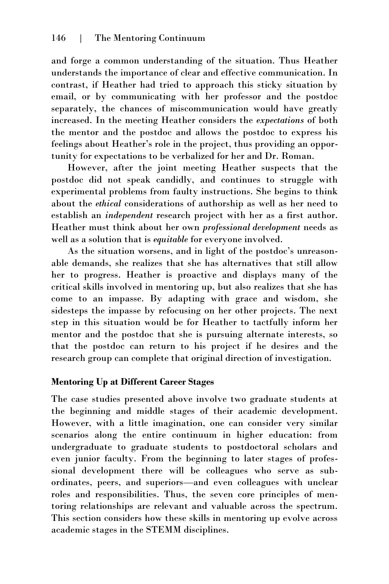and forge a common understanding of the situation. Thus Heather understands the importance of clear and effective communication. In contrast, if Heather had tried to approach this sticky situation by email, or by communicating with her professor and the postdoc separately, the chances of miscommunication would have greatly increased. In the meeting Heather considers the *expectations* of both the mentor and the postdoc and allows the postdoc to express his feelings about Heather's role in the project, thus providing an opportunity for expectations to be verbalized for her and Dr. Roman.

However, after the joint meeting Heather suspects that the postdoc did not speak candidly, and continues to struggle with experimental problems from faulty instructions. She begins to think about the *ethical* considerations of authorship as well as her need to establish an *independent* research project with her as a first author. Heather must think about her own *professional development* needs as well as a solution that is *equitable* for everyone involved.

As the situation worsens, and in light of the postdoc's unreasonable demands, she realizes that she has alternatives that still allow her to progress. Heather is proactive and displays many of the critical skills involved in mentoring up, but also realizes that she has come to an impasse. By adapting with grace and wisdom, she sidesteps the impasse by refocusing on her other projects. The next step in this situation would be for Heather to tactfully inform her mentor and the postdoc that she is pursuing alternate interests, so that the postdoc can return to his project if he desires and the research group can complete that original direction of investigation.

## **Mentoring Up at Different Career Stages**

The case studies presented above involve two graduate students at the beginning and middle stages of their academic development. However, with a little imagination, one can consider very similar scenarios along the entire continuum in higher education: from undergraduate to graduate students to postdoctoral scholars and even junior faculty. From the beginning to later stages of professional development there will be colleagues who serve as subordinates, peers, and superiors—and even colleagues with unclear roles and responsibilities. Thus, the seven core principles of mentoring relationships are relevant and valuable across the spectrum. This section considers how these skills in mentoring up evolve across academic stages in the STEMM disciplines.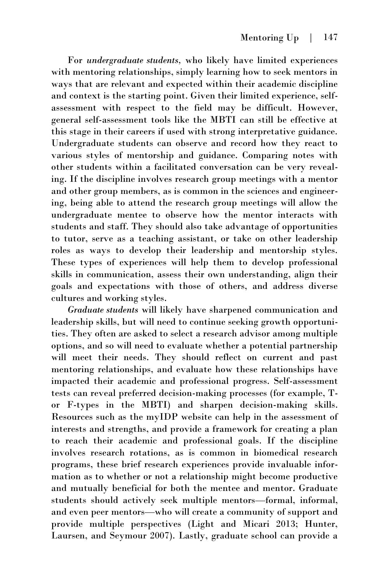For *undergraduate students,* who likely have limited experiences with mentoring relationships, simply learning how to seek mentors in ways that are relevant and expected within their academic discipline and context is the starting point. Given their limited experience, selfassessment with respect to the field may be difficult. However, general self-assessment tools like the MBTI can still be effective at this stage in their careers if used with strong interpretative guidance. Undergraduate students can observe and record how they react to various styles of mentorship and guidance. Comparing notes with other students within a facilitated conversation can be very revealing. If the discipline involves research group meetings with a mentor and other group members, as is common in the sciences and engineering, being able to attend the research group meetings will allow the undergraduate mentee to observe how the mentor interacts with students and staff. They should also take advantage of opportunities to tutor, serve as a teaching assistant, or take on other leadership roles as ways to develop their leadership and mentorship styles. These types of experiences will help them to develop professional skills in communication, assess their own understanding, align their goals and expectations with those of others, and address diverse cultures and working styles.

*Graduate students* will likely have sharpened communication and leadership skills, but will need to continue seeking growth opportunities. They often are asked to select a research advisor among multiple options, and so will need to evaluate whether a potential partnership will meet their needs. They should reflect on current and past mentoring relationships, and evaluate how these relationships have impacted their academic and professional progress. Self-assessment tests can reveal preferred decision-making processes (for example, Tor F-types in the MBTI) and sharpen decision-making skills. Resources such as the myIDP website can help in the assessment of interests and strengths, and provide a framework for creating a plan to reach their academic and professional goals. If the discipline involves research rotations, as is common in biomedical research programs, these brief research experiences provide invaluable information as to whether or not a relationship might become productive and mutually beneficial for both the mentee and mentor. Graduate students should actively seek multiple mentors—formal, informal, and even peer mentors—who will create a community of support and provide multiple perspectives (Light and Micari 2013; Hunter, Laursen, and Seymour 2007). Lastly, graduate school can provide a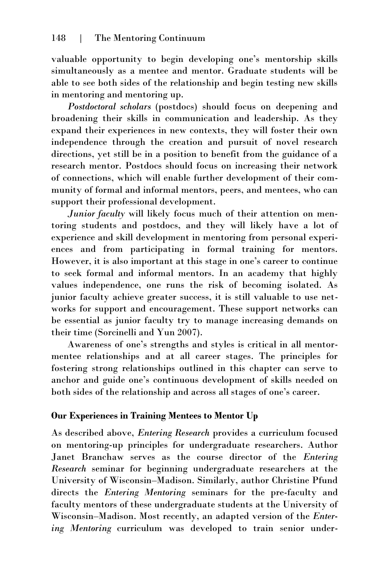valuable opportunity to begin developing one's mentorship skills simultaneously as a mentee and mentor. Graduate students will be able to see both sides of the relationship and begin testing new skills in mentoring and mentoring up.

*Postdoctoral scholars* (postdocs) should focus on deepening and broadening their skills in communication and leadership. As they expand their experiences in new contexts, they will foster their own independence through the creation and pursuit of novel research directions, yet still be in a position to benefit from the guidance of a research mentor. Postdocs should focus on increasing their network of connections, which will enable further development of their community of formal and informal mentors, peers, and mentees, who can support their professional development.

*Junior faculty* will likely focus much of their attention on mentoring students and postdocs, and they will likely have a lot of experience and skill development in mentoring from personal experiences and from participating in formal training for mentors. However, it is also important at this stage in one's career to continue to seek formal and informal mentors. In an academy that highly values independence, one runs the risk of becoming isolated. As junior faculty achieve greater success, it is still valuable to use networks for support and encouragement. These support networks can be essential as junior faculty try to manage increasing demands on their time (Sorcinelli and Yun 2007).

Awareness of one's strengths and styles is critical in all mentormentee relationships and at all career stages. The principles for fostering strong relationships outlined in this chapter can serve to anchor and guide one's continuous development of skills needed on both sides of the relationship and across all stages of one's career.

## **Our Experiences in Training Mentees to Mentor Up**

As described above, *Entering Research* provides a curriculum focused on mentoring-up principles for undergraduate researchers. Author Janet Branchaw serves as the course director of the *Entering Research* seminar for beginning undergraduate researchers at the University of Wisconsin–Madison. Similarly, author Christine Pfund directs the *Entering Mentoring* seminars for the pre-faculty and faculty mentors of these undergraduate students at the University of Wisconsin–Madison. Most recently, an adapted version of the *Entering Mentoring* curriculum was developed to train senior under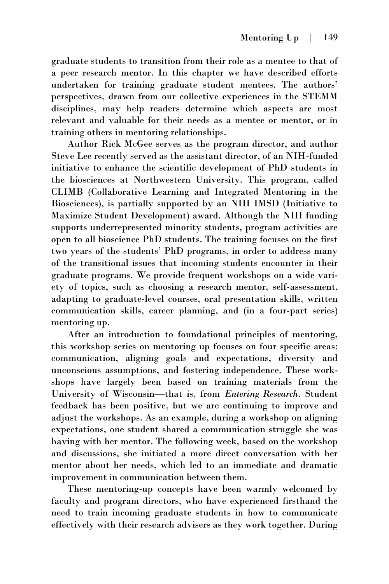graduate students to transition from their role as a mentee to that of a peer research mentor. In this chapter we have described efforts undertaken for training graduate student mentees. The authors' perspectives, drawn from our collective experiences in the STEMM disciplines, may help readers determine which aspects are most relevant and valuable for their needs as a mentee or mentor, or in training others in mentoring relationships.

Author Rick McGee serves as the program director, and author Steve Lee recently served as the assistant director, of an NIH-funded initiative to enhance the scientific development of PhD students in the biosciences at Northwestern University. This program, called CLIMB (Collaborative Learning and Integrated Mentoring in the Biosciences), is partially supported by an NIH IMSD (Initiative to Maximize Student Development) award. Although the NIH funding supports underrepresented minority students, program activities are open to all bioscience PhD students. The training focuses on the first two years of the students' PhD programs, in order to address many of the transitional issues that incoming students encounter in their graduate programs. We provide frequent workshops on a wide variety of topics, such as choosing a research mentor, self-assessment, adapting to graduate-level courses, oral presentation skills, written communication skills, career planning, and (in a four-part series) mentoring up.

After an introduction to foundational principles of mentoring, this workshop series on mentoring up focuses on four specific areas: communication, aligning goals and expectations, diversity and unconscious assumptions, and fostering independence. These workshops have largely been based on training materials from the University of Wisconsin—that is, from *Entering Research*. Student feedback has been positive, but we are continuing to improve and adjust the workshops. As an example, during a workshop on aligning expectations, one student shared a communication struggle she was having with her mentor. The following week, based on the workshop and discussions, she initiated a more direct conversation with her mentor about her needs, which led to an immediate and dramatic improvement in communication between them.

These mentoring-up concepts have been warmly welcomed by faculty and program directors, who have experienced firsthand the need to train incoming graduate students in how to communicate effectively with their research advisers as they work together. During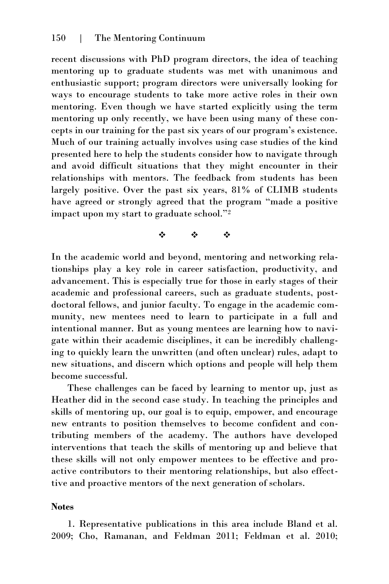recent discussions with PhD program directors, the idea of teaching mentoring up to graduate students was met with unanimous and enthusiastic support; program directors were universally looking for ways to encourage students to take more active roles in their own mentoring. Even though we have started explicitly using the term mentoring up only recently, we have been using many of these concepts in our training for the past six years of our program's existence. Much of our training actually involves using case studies of the kind presented here to help the students consider how to navigate through and avoid difficult situations that they might encounter in their relationships with mentors. The feedback from students has been largely positive. Over the past six years, 81% of CLIMB students have agreed or strongly agreed that the program "made a positive impact upon my start to graduate school."<sup>2</sup>

 $\ddot{\phi}$  and  $\ddot{\phi}$  and  $\ddot{\phi}$ 

In the academic world and beyond, mentoring and networking relationships play a key role in career satisfaction, productivity, and advancement. This is especially true for those in early stages of their academic and professional careers, such as graduate students, postdoctoral fellows, and junior faculty. To engage in the academic community, new mentees need to learn to participate in a full and intentional manner. But as young mentees are learning how to navigate within their academic disciplines, it can be incredibly challenging to quickly learn the unwritten (and often unclear) rules, adapt to new situations, and discern which options and people will help them become successful.

These challenges can be faced by learning to mentor up, just as Heather did in the second case study. In teaching the principles and skills of mentoring up, our goal is to equip, empower, and encourage new entrants to position themselves to become confident and contributing members of the academy. The authors have developed interventions that teach the skills of mentoring up and believe that these skills will not only empower mentees to be effective and proactive contributors to their mentoring relationships, but also effecttive and proactive mentors of the next generation of scholars.

#### **Notes**

1. Representative publications in this area include Bland et al. 2009; Cho, Ramanan, and Feldman 2011; Feldman et al. 2010;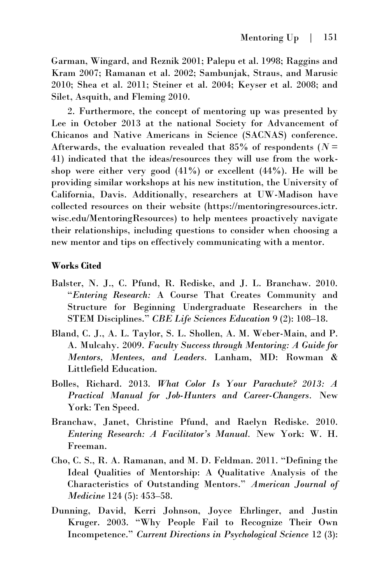Garman, Wingard, and Reznik 2001; Palepu et al. 1998; Raggins and Kram 2007; Ramanan et al. 2002; Sambunjak, Straus, and Marusic 2010; Shea et al. 2011; Steiner et al. 2004; Keyser et al. 2008; and Silet, Asquith, and Fleming 2010.

2. Furthermore, the concept of mentoring up was presented by Lee in October 2013 at the national Society for Advancement of Chicanos and Native Americans in Science (SACNAS) conference. Afterwards, the evaluation revealed that 85% of respondents ( $N =$ 41) indicated that the ideas/resources they will use from the workshop were either very good  $(41\%)$  or excellent  $(44\%)$ . He will be providing similar workshops at his new institution, the University of California, Davis. Additionally, researchers at UW-Madison have collected resources on their website (https://mentoringresources.ictr. wisc.edu/MentoringResources) to help mentees proactively navigate their relationships, including questions to consider when choosing a new mentor and tips on effectively communicating with a mentor.

#### **Works Cited**

- Balster, N. J., C. Pfund, R. Rediske, and J. L. Branchaw. 2010. "*Entering Research:* A Course That Creates Community and Structure for Beginning Undergraduate Researchers in the STEM Disciplines." *CBE Life Sciences Education* 9 (2): 108–18.
- Bland, C. J., A. L. Taylor, S. L. Shollen, A. M. Weber-Main, and P. A. Mulcahy. 2009. *Faculty Success through Mentoring: A Guide for Mentors, Mentees, and Leaders.* Lanham, MD: Rowman & Littlefield Education.
- Bolles, Richard. 2013. *What Color Is Your Parachute? 2013: A Practical Manual for Job-Hunters and Career-Changers.* New York: Ten Speed.
- Branchaw, Janet, Christine Pfund, and Raelyn Rediske. 2010. *Entering Research: A Facilitator's Manual.* New York: W. H. Freeman.
- Cho, C. S., R. A. Ramanan, and M. D. Feldman. 2011. "Defining the Ideal Qualities of Mentorship: A Qualitative Analysis of the Characteristics of Outstanding Mentors." *American Journal of Medicine* 124 (5): 453–58.
- Dunning, David, Kerri Johnson, Joyce Ehrlinger, and Justin Kruger. 2003. "Why People Fail to Recognize Their Own Incompetence." *Current Directions in Psychological Science* 12 (3):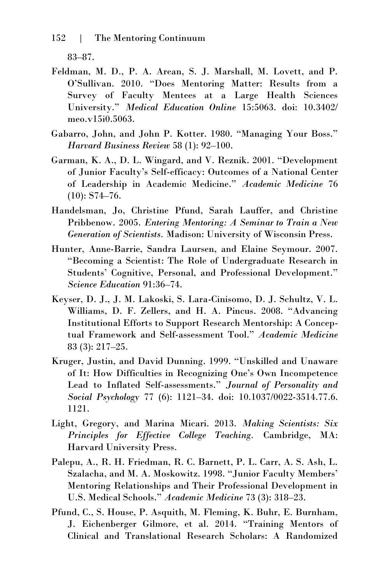83–87.

- Feldman, M. D., P. A. Arean, S. J. Marshall, M. Lovett, and P. O'Sullivan. 2010. "Does Mentoring Matter: Results from a Survey of Faculty Mentees at a Large Health Sciences University." *Medical Education Online* 15:5063. doi: 10.3402/ meo.v15i0.5063.
- Gabarro, John, and John P. Kotter. 1980. "Managing Your Boss." *Harvard Business Review* 58 (1): 92–100.
- Garman, K. A., D. L. Wingard, and V. Reznik. 2001. "Development of Junior Faculty's Self-efficacy: Outcomes of a National Center of Leadership in Academic Medicine." *Academic Medicine* 76 (10): S74–76.
- Handelsman, Jo, Christine Pfund, Sarah Lauffer, and Christine Pribbenow. 2005. *Entering Mentoring: A Seminar to Train a New Generation of Scientists.* Madison: University of Wisconsin Press.
- Hunter, Anne-Barrie, Sandra Laursen, and Elaine Seymour. 2007. "Becoming a Scientist: The Role of Undergraduate Research in Students' Cognitive, Personal, and Professional Development." *Science Education* 91:36–74.
- Keyser, D. J., J. M. Lakoski, S. Lara-Cinisomo, D. J. Schultz, V. L. Williams, D. F. Zellers, and H. A. Pincus. 2008. "Advancing Institutional Efforts to Support Research Mentorship: A Conceptual Framework and Self-assessment Tool." *Academic Medicine* 83 (3): 217–25.
- Kruger, Justin, and David Dunning. 1999. "Unskilled and Unaware of It: How Difficulties in Recognizing One's Own Incompetence Lead to Inflated Self-assessments." *Journal of Personality and Social Psychology* 77 (6): 1121–34. doi: [10.1037/0022-3514.77.6.](http://psycnet.apa.org/doi/10.1037/0022-3514.77.6.1121)  [1121.](http://psycnet.apa.org/doi/10.1037/0022-3514.77.6.1121)
- Light, Gregory, and Marina Micari. 2013. *Making Scientists: Six Principles for Effective College Teaching.* Cambridge, MA: Harvard University Press.
- Palepu, A., R. H. Friedman, R. C. Barnett, P. L. Carr, A. S. Ash, L. Szalacha, and M. A. Moskowitz. 1998. "Junior Faculty Members' Mentoring Relationships and Their Professional Development in U.S. Medical Schools." *Academic Medicine* 73 (3): 318–23.
- Pfund, C., S. House, P. Asquith, M. Fleming, K. Buhr, E. Burnham, J. Eichenberger Gilmore, et al. 2014. "Training Mentors of Clinical and Translational Research Scholars: A Randomized